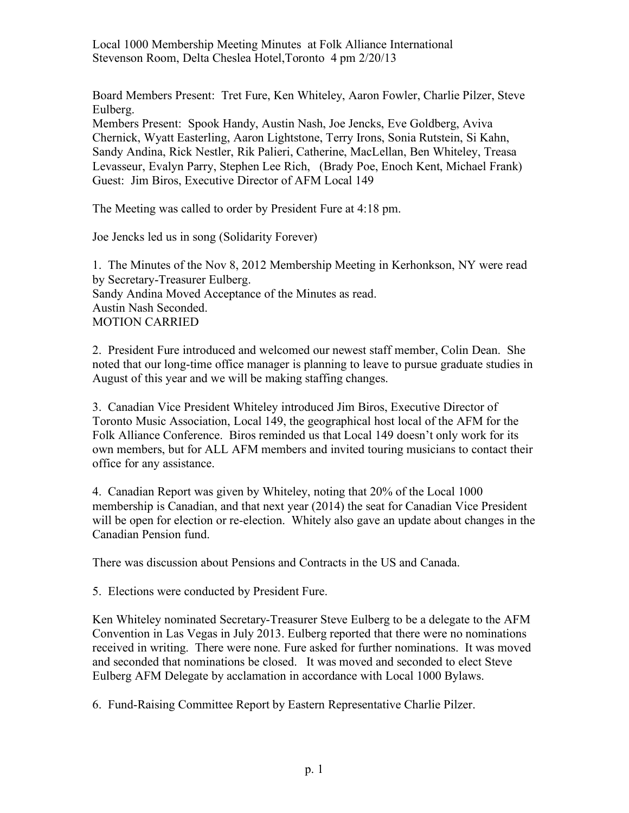Local 1000 Membership Meeting Minutes at Folk Alliance International Stevenson Room, Delta Cheslea Hotel,Toronto 4 pm 2/20/13

Board Members Present: Tret Fure, Ken Whiteley, Aaron Fowler, Charlie Pilzer, Steve Eulberg.

Members Present: Spook Handy, Austin Nash, Joe Jencks, Eve Goldberg, Aviva Chernick, Wyatt Easterling, Aaron Lightstone, Terry Irons, Sonia Rutstein, Si Kahn, Sandy Andina, Rick Nestler, Rik Palieri, Catherine, MacLellan, Ben Whiteley, Treasa Levasseur, Evalyn Parry, Stephen Lee Rich, (Brady Poe, Enoch Kent, Michael Frank) Guest: Jim Biros, Executive Director of AFM Local 149

The Meeting was called to order by President Fure at 4:18 pm.

Joe Jencks led us in song (Solidarity Forever)

1. The Minutes of the Nov 8, 2012 Membership Meeting in Kerhonkson, NY were read by Secretary-Treasurer Eulberg. Sandy Andina Moved Acceptance of the Minutes as read. Austin Nash Seconded. MOTION CARRIED

2. President Fure introduced and welcomed our newest staff member, Colin Dean. She noted that our long-time office manager is planning to leave to pursue graduate studies in August of this year and we will be making staffing changes.

3. Canadian Vice President Whiteley introduced Jim Biros, Executive Director of Toronto Music Association, Local 149, the geographical host local of the AFM for the Folk Alliance Conference. Biros reminded us that Local 149 doesn't only work for its own members, but for ALL AFM members and invited touring musicians to contact their office for any assistance.

4. Canadian Report was given by Whiteley, noting that 20% of the Local 1000 membership is Canadian, and that next year (2014) the seat for Canadian Vice President will be open for election or re-election. Whitely also gave an update about changes in the Canadian Pension fund.

There was discussion about Pensions and Contracts in the US and Canada.

5. Elections were conducted by President Fure.

Ken Whiteley nominated Secretary-Treasurer Steve Eulberg to be a delegate to the AFM Convention in Las Vegas in July 2013. Eulberg reported that there were no nominations received in writing. There were none. Fure asked for further nominations. It was moved and seconded that nominations be closed. It was moved and seconded to elect Steve Eulberg AFM Delegate by acclamation in accordance with Local 1000 Bylaws.

6. Fund-Raising Committee Report by Eastern Representative Charlie Pilzer.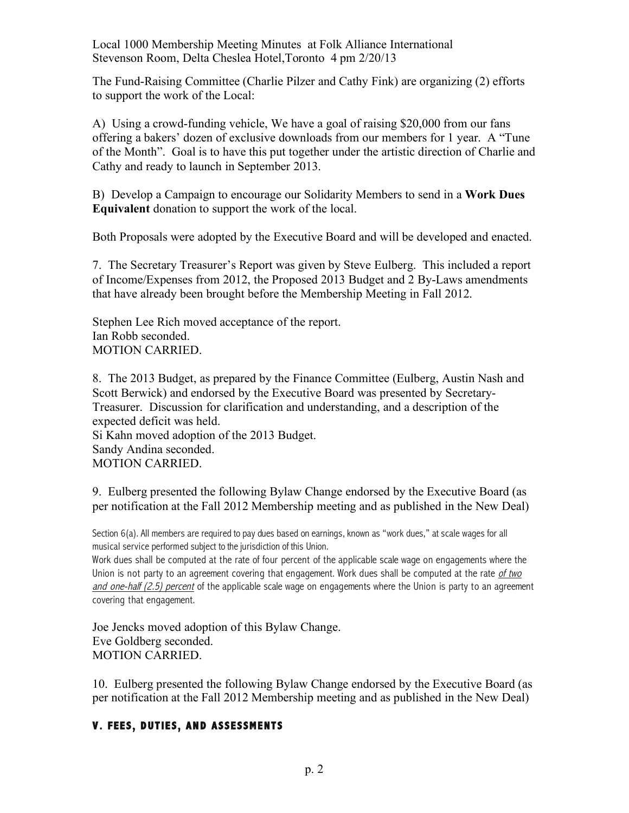Local 1000 Membership Meeting Minutes at Folk Alliance International Stevenson Room, Delta Cheslea Hotel,Toronto 4 pm 2/20/13

The Fund-Raising Committee (Charlie Pilzer and Cathy Fink) are organizing (2) efforts to support the work of the Local:

A) Using a crowd-funding vehicle, We have a goal of raising \$20,000 from our fans offering a bakers' dozen of exclusive downloads from our members for 1 year. A "Tune of the Month". Goal is to have this put together under the artistic direction of Charlie and Cathy and ready to launch in September 2013.

B) Develop a Campaign to encourage our Solidarity Members to send in a **Work Dues Equivalent** donation to support the work of the local.

Both Proposals were adopted by the Executive Board and will be developed and enacted.

7. The Secretary Treasurer's Report was given by Steve Eulberg. This included a report of Income/Expenses from 2012, the Proposed 2013 Budget and 2 By-Laws amendments that have already been brought before the Membership Meeting in Fall 2012.

Stephen Lee Rich moved acceptance of the report. Ian Robb seconded. MOTION CARRIED.

8. The 2013 Budget, as prepared by the Finance Committee (Eulberg, Austin Nash and Scott Berwick) and endorsed by the Executive Board was presented by Secretary-Treasurer. Discussion for clarification and understanding, and a description of the expected deficit was held.

Si Kahn moved adoption of the 2013 Budget. Sandy Andina seconded. MOTION CARRIED.

9. Eulberg presented the following Bylaw Change endorsed by the Executive Board (as per notification at the Fall 2012 Membership meeting and as published in the New Deal)

Section 6(a). All members are required to pay dues based on earnings, known as "work dues," at scale wages for all musical service performed subject to the jurisdiction of this Union.

Work dues shall be computed at the rate of four percent of the applicable scale wage on engagements where the Union is not party to an agreement covering that engagement. Work dues shall be computed at the rate of two and one-half  $(2.5)$  percent of the applicable scale wage on engagements where the Union is party to an agreement covering that engagement.

Joe Jencks moved adoption of this Bylaw Change. Eve Goldberg seconded. MOTION CARRIED.

10. Eulberg presented the following Bylaw Change endorsed by the Executive Board (as per notification at the Fall 2012 Membership meeting and as published in the New Deal)

## **V. FEES, DUTIES, AND ASSESSMENTS**